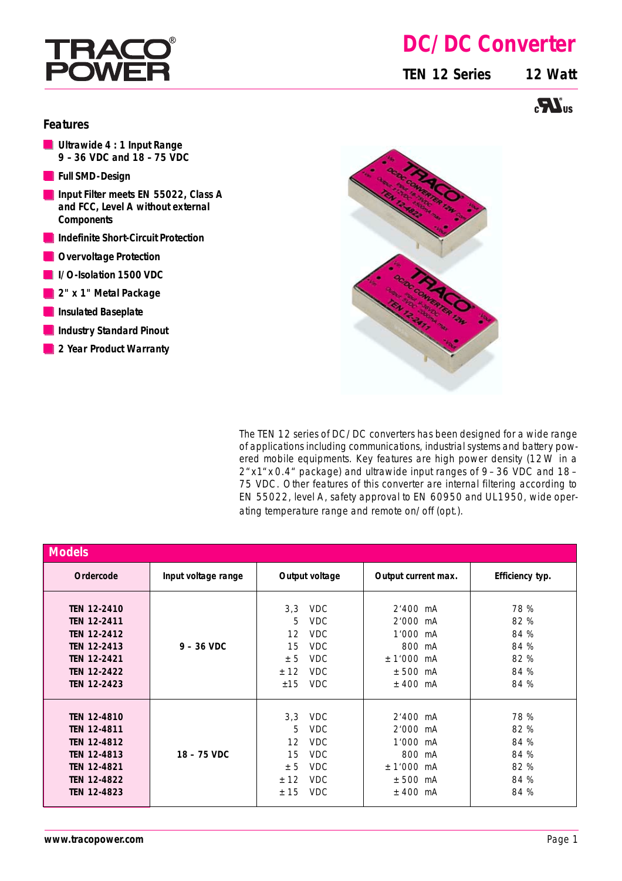# I HA

## **DC/DC Converter**

**TEN 12 Series 12 Watt**



### **Features**

- **Ultrawide 4 : 1 Input Range 9 – 36 VDC and 18 – 75 VDC**
- **Full SMD-Design**
- **Input Filter meets EN 55022, Class A and FCC, Level A without external Components**
- **Indefinite Short-Circuit Protection**
- **Overvoltage Protection**
- **I/O-Isolation 1500 VDC**
- **2" x 1" Metal Package**
- **Insulated Baseplate**
- **Industry Standard Pinout**
- **2 Year Product Warranty**



The TEN 12 series of DC/DC converters has been designed for a wide range of applications including communications, industrial systems and battery powered mobile equipments. Key features are high power density (12W in a 2"x1"x 0.4" package) and ultrawide input ranges of 9– 36 VDC and 18– 75 VDC. Other features of this converter are internal filtering according to EN 55022, level A, safety approval to EN 60950 and UL1950, wide operating temperature range and remote on/off (opt.).

| <b>Models</b>                                                                                                                                          |                     |                                            |                                                                                                |                                                                                |        |                                                      |
|--------------------------------------------------------------------------------------------------------------------------------------------------------|---------------------|--------------------------------------------|------------------------------------------------------------------------------------------------|--------------------------------------------------------------------------------|--------|------------------------------------------------------|
| Ordercode                                                                                                                                              | Input voltage range | Output voltage                             |                                                                                                | Output current max.                                                            |        | Efficiency typ.                                      |
| <b>TEN 12-2410</b><br><b>TEN 12-2411</b><br><b>TEN 12-2412</b><br><b>TEN 12-2413</b><br><b>TEN 12-2421</b><br><b>TEN 12-2422</b><br><b>TEN 12-2423</b> | $9 - 36$ VDC        | 3,3<br>5<br>12<br>15<br>± 5<br>± 12<br>±15 | <b>VDC</b><br><b>VDC</b><br><b>VDC</b><br><b>VDC</b><br><b>VDC</b><br><b>VDC</b><br><b>VDC</b> | $2'400$ mA<br>2'000 mA<br>1'000 mA<br>$± 1'000$ mA<br>$± 500$ mA<br>$±$ 400 mA | 800 mA | 78 %<br>82 %<br>84 %<br>84 %<br>82 %<br>84 %<br>84 % |
| <b>TEN 12-4810</b><br><b>TEN 12-4811</b><br><b>TEN 12-4812</b><br><b>TEN 12-4813</b><br><b>TEN 12-4821</b><br><b>TEN 12-4822</b><br><b>TEN 12-4823</b> | 18 - 75 VDC         | 3,3<br>5<br>12<br>15<br>± 5<br>± 12<br>±15 | <b>VDC</b><br><b>VDC</b><br><b>VDC</b><br><b>VDC</b><br><b>VDC</b><br><b>VDC</b><br><b>VDC</b> | $2'400$ mA<br>2'000 mA<br>1'000 mA<br>$± 1'000$ mA<br>$± 500$ mA<br>$±$ 400 mA | 800 mA | 78 %<br>82 %<br>84 %<br>84 %<br>82 %<br>84 %<br>84 % |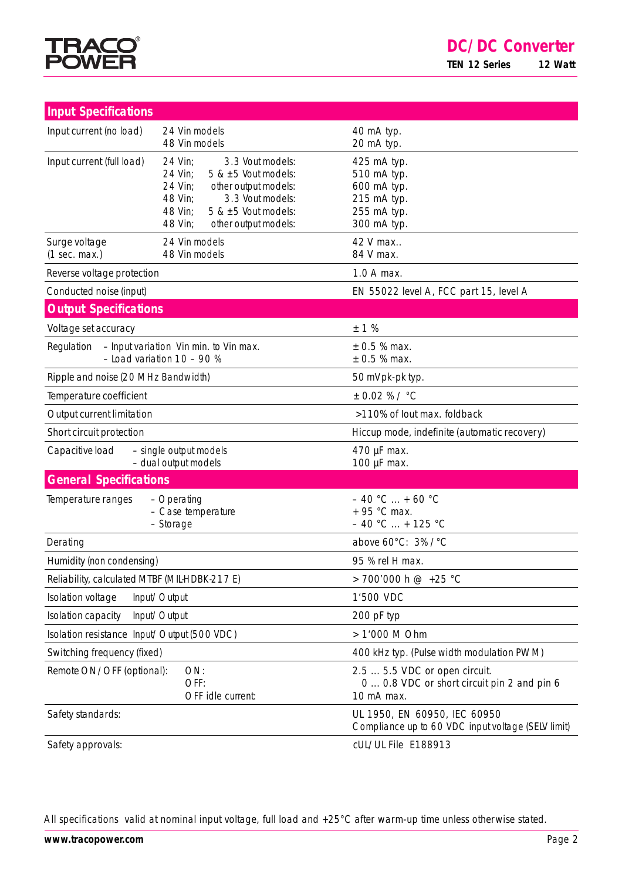

| <b>Input Specifications</b>                                                          |                                                                                                                                                                                                                  |                                                                                            |  |  |
|--------------------------------------------------------------------------------------|------------------------------------------------------------------------------------------------------------------------------------------------------------------------------------------------------------------|--------------------------------------------------------------------------------------------|--|--|
|                                                                                      |                                                                                                                                                                                                                  |                                                                                            |  |  |
| Input current (no load)                                                              | 24 Vin models<br>48 Vin models                                                                                                                                                                                   | 40 mA typ.<br>20 mA typ.                                                                   |  |  |
| Input current (full load)                                                            | 24 Vin;<br>3.3 Vout models:<br>24 Vin:<br>5 & $\pm$ 5 Vout models:<br>24 Vin:<br>other output models:<br>48 Vin:<br>3.3 Vout models:<br>$5$ & $\pm 5$ Vout models:<br>48 Vin:<br>48 Vin:<br>other output models: | 425 mA typ.<br>510 mA typ.<br>600 mA typ.<br>215 mA typ.<br>255 mA typ.<br>300 mA typ.     |  |  |
| Surge voltage<br>(1 sec. max.)                                                       | 24 Vin models<br>48 Vin models                                                                                                                                                                                   | 42 V max<br>84 V max.                                                                      |  |  |
| Reverse voltage protection                                                           |                                                                                                                                                                                                                  | 1.0 A max.                                                                                 |  |  |
| Conducted noise (input)                                                              |                                                                                                                                                                                                                  | EN 55022 level A, FCC part 15, level A                                                     |  |  |
| <b>Output Specifications</b>                                                         |                                                                                                                                                                                                                  |                                                                                            |  |  |
| Voltage set accuracy                                                                 |                                                                                                                                                                                                                  | ± 1%                                                                                       |  |  |
| - Input variation Vin min. to Vin max.<br>Regulation<br>$-$ Load variation 10 - 90 % |                                                                                                                                                                                                                  | $± 0.5 %$ max.<br>± 0.5 % max.                                                             |  |  |
| Ripple and noise (20 MHz Bandwidth)                                                  |                                                                                                                                                                                                                  | 50 mVpk-pk typ.                                                                            |  |  |
| Temperature coefficient                                                              |                                                                                                                                                                                                                  | $± 0.02 %$ / °C                                                                            |  |  |
| Output current limitation                                                            |                                                                                                                                                                                                                  | >110% of lout max. foldback                                                                |  |  |
| Short circuit protection                                                             |                                                                                                                                                                                                                  | Hiccup mode, indefinite (automatic recovery)                                               |  |  |
| Capacitive load                                                                      | - single output models<br>- dual output models                                                                                                                                                                   | 470 µF max.<br>100 µF max.                                                                 |  |  |
| <b>General Specifications</b>                                                        |                                                                                                                                                                                                                  |                                                                                            |  |  |
| Temperature ranges                                                                   | - Operating<br>- Case temperature<br>- Storage                                                                                                                                                                   | $-40 °C  + 60 °C$<br>+ 95 °C max.<br>$-40$ °C  + 125 °C                                    |  |  |
| Derating                                                                             |                                                                                                                                                                                                                  | above 60°C: 3% /°C                                                                         |  |  |
| Humidity (non condensing)                                                            |                                                                                                                                                                                                                  | 95 % rel H max.                                                                            |  |  |
| Reliability, calculated MTBF (MIL-HDBK-217 E)                                        |                                                                                                                                                                                                                  | > 700'000 h @ +25 °C                                                                       |  |  |
| Isolation voltage                                                                    | Input/Output                                                                                                                                                                                                     | 1'500 VDC                                                                                  |  |  |
| Isolation capacity                                                                   | Input/Output                                                                                                                                                                                                     | 200 pF typ                                                                                 |  |  |
| Isolation resistance Input/Output (500 VDC)                                          |                                                                                                                                                                                                                  | > 1'000 M Ohm                                                                              |  |  |
| Switching frequency (fixed)                                                          |                                                                                                                                                                                                                  | 400 kHz typ. (Pulse width modulation PWM)                                                  |  |  |
| Remote ON/OFF (optional):                                                            | ON:<br>OFF:<br>OFF idle current:                                                                                                                                                                                 | 2.5  5.5 VDC or open circuit.<br>0  0.8 VDC or short circuit pin 2 and pin 6<br>10 mA max. |  |  |
| Safety standards:                                                                    |                                                                                                                                                                                                                  | UL 1950, EN 60950, IEC 60950<br>Compliance up to 60 VDC input voltage (SELV limit)         |  |  |
| Safety approvals:                                                                    |                                                                                                                                                                                                                  | cUL/UL File E188913                                                                        |  |  |

All specifications valid at nominal input voltage, full load and +25°C after warm-up time unless otherwise stated.